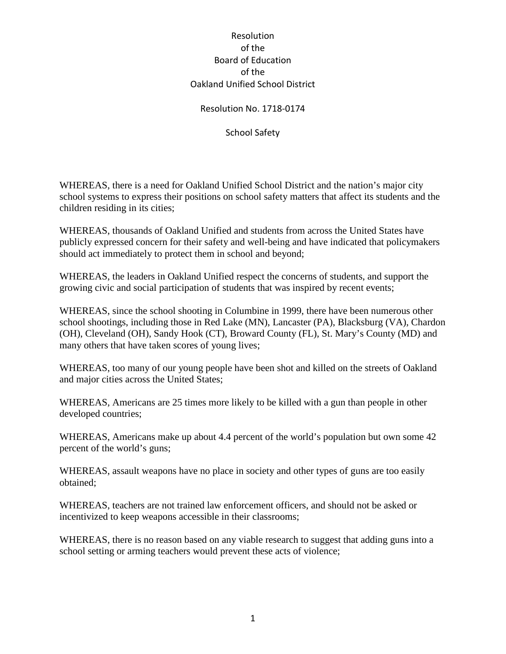## Resolution No. 1718-0174

School Safety

WHEREAS, there is a need for Oakland Unified School District and the nation's major city school systems to express their positions on school safety matters that affect its students and the children residing in its cities;

WHEREAS, thousands of Oakland Unified and students from across the United States have publicly expressed concern for their safety and well-being and have indicated that policymakers should act immediately to protect them in school and beyond;

WHEREAS, the leaders in Oakland Unified respect the concerns of students, and support the growing civic and social participation of students that was inspired by recent events;

WHEREAS, since the school shooting in Columbine in 1999, there have been numerous other school shootings, including those in Red Lake (MN), Lancaster (PA), Blacksburg (VA), Chardon (OH), Cleveland (OH), Sandy Hook (CT), Broward County (FL), St. Mary's County (MD) and many others that have taken scores of young lives;

WHEREAS, too many of our young people have been shot and killed on the streets of Oakland and major cities across the United States;

WHEREAS, Americans are 25 times more likely to be killed with a gun than people in other developed countries;

WHEREAS, Americans make up about 4.4 percent of the world's population but own some 42 percent of the world's guns;

WHEREAS, assault weapons have no place in society and other types of guns are too easily obtained;

WHEREAS, teachers are not trained law enforcement officers, and should not be asked or incentivized to keep weapons accessible in their classrooms;

WHEREAS, there is no reason based on any viable research to suggest that adding guns into a school setting or arming teachers would prevent these acts of violence;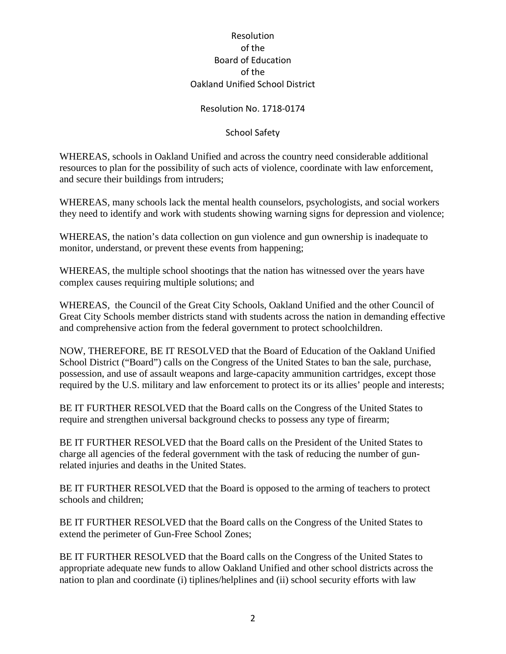## Resolution No. 1718-0174

## School Safety

WHEREAS, schools in Oakland Unified and across the country need considerable additional resources to plan for the possibility of such acts of violence, coordinate with law enforcement, and secure their buildings from intruders;

WHEREAS, many schools lack the mental health counselors, psychologists, and social workers they need to identify and work with students showing warning signs for depression and violence;

WHEREAS, the nation's data collection on gun violence and gun ownership is inadequate to monitor, understand, or prevent these events from happening;

WHEREAS, the multiple school shootings that the nation has witnessed over the years have complex causes requiring multiple solutions; and

WHEREAS, the Council of the Great City Schools, Oakland Unified and the other Council of Great City Schools member districts stand with students across the nation in demanding effective and comprehensive action from the federal government to protect schoolchildren.

NOW, THEREFORE, BE IT RESOLVED that the Board of Education of the Oakland Unified School District ("Board") calls on the Congress of the United States to ban the sale, purchase, possession, and use of assault weapons and large-capacity ammunition cartridges, except those required by the U.S. military and law enforcement to protect its or its allies' people and interests;

BE IT FURTHER RESOLVED that the Board calls on the Congress of the United States to require and strengthen universal background checks to possess any type of firearm;

BE IT FURTHER RESOLVED that the Board calls on the President of the United States to charge all agencies of the federal government with the task of reducing the number of gunrelated injuries and deaths in the United States.

BE IT FURTHER RESOLVED that the Board is opposed to the arming of teachers to protect schools and children;

BE IT FURTHER RESOLVED that the Board calls on the Congress of the United States to extend the perimeter of Gun-Free School Zones;

BE IT FURTHER RESOLVED that the Board calls on the Congress of the United States to appropriate adequate new funds to allow Oakland Unified and other school districts across the nation to plan and coordinate (i) tiplines/helplines and (ii) school security efforts with law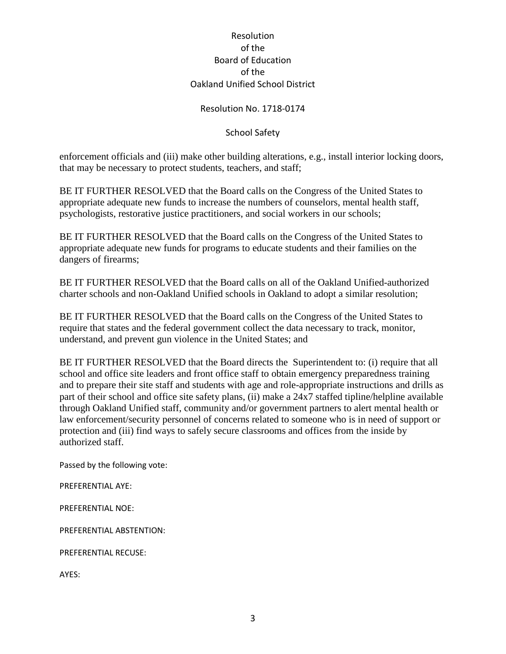## Resolution No. 1718-0174

## School Safety

enforcement officials and (iii) make other building alterations, e.g., install interior locking doors, that may be necessary to protect students, teachers, and staff;

BE IT FURTHER RESOLVED that the Board calls on the Congress of the United States to appropriate adequate new funds to increase the numbers of counselors, mental health staff, psychologists, restorative justice practitioners, and social workers in our schools;

BE IT FURTHER RESOLVED that the Board calls on the Congress of the United States to appropriate adequate new funds for programs to educate students and their families on the dangers of firearms;

BE IT FURTHER RESOLVED that the Board calls on all of the Oakland Unified-authorized charter schools and non-Oakland Unified schools in Oakland to adopt a similar resolution;

BE IT FURTHER RESOLVED that the Board calls on the Congress of the United States to require that states and the federal government collect the data necessary to track, monitor, understand, and prevent gun violence in the United States; and

BE IT FURTHER RESOLVED that the Board directs the Superintendent to: (i) require that all school and office site leaders and front office staff to obtain emergency preparedness training and to prepare their site staff and students with age and role-appropriate instructions and drills as part of their school and office site safety plans, (ii) make a 24x7 staffed tipline/helpline available through Oakland Unified staff, community and/or government partners to alert mental health or law enforcement/security personnel of concerns related to someone who is in need of support or protection and (iii) find ways to safely secure classrooms and offices from the inside by authorized staff.

Passed by the following vote:

PREFERENTIAL AYE:

PREFERENTIAL NOE:

PREFERENTIAL ABSTENTION:

PREFERENTIAL RECUSE:

AYES: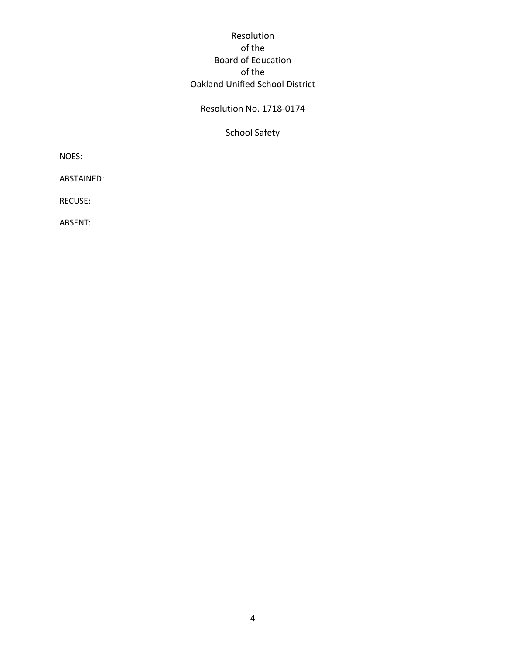# Resolution No. 1718-0174

School Safety

NOES:

ABSTAINED:

RECUSE:

ABSENT: